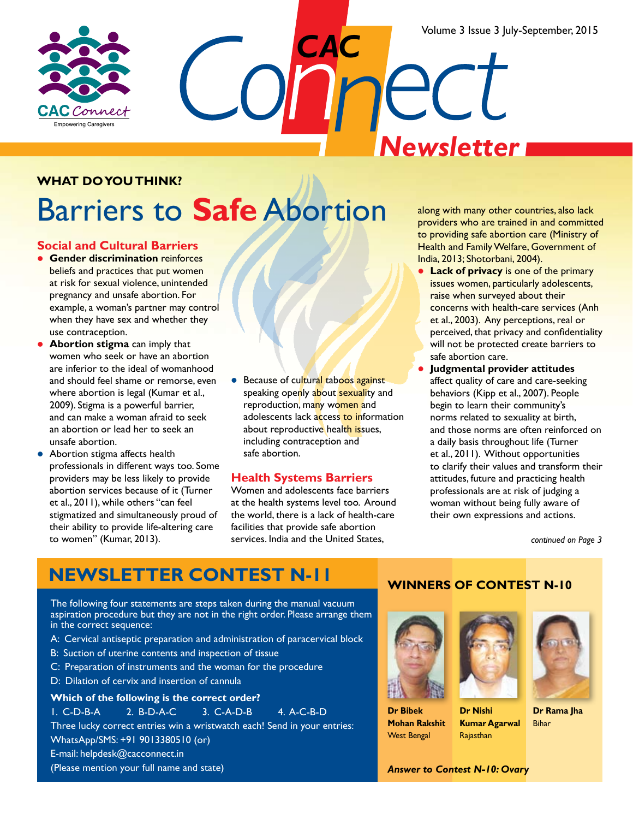Volume 3 Issue 3 July-September, 2015



*CAC Newsletter*

#### **What do you think?**

## Barriers to **Safe** Abortion

#### **Social and Cultural Barriers**

- **Gender discrimination** reinforces beliefs and practices that put women at risk for sexual violence, unintended pregnancy and unsafe abortion. For example, a woman's partner may control when they have sex and whether they use contraception.
- **Abortion stigma** can imply that women who seek or have an abortion are inferior to the ideal of womanhood and should feel shame or remorse, even where abortion is legal (Kumar et al., 2009). Stigma is a powerful barrier, and can make a woman afraid to seek an abortion or lead her to seek an unsafe abortion.
- Abortion stigma affects health professionals in different ways too. Some providers may be less likely to provide abortion services because of it (Turner et al., 2011), while others "can feel stigmatized and simultaneously proud of their ability to provide life-altering care to women" (Kumar, 2013).
- **Because of cultural taboos against** speaking openly about sexuality and reproduction, many women and adolescents lack access to information about reproductive health issues, including contraception and safe abortion.

#### **Health Systems Barriers**

Women and adolescents face barriers at the health systems level too. Around the world, there is a lack of health-care facilities that provide safe abortion services. India and the United States,

along with many other countries, also lack providers who are trained in and committed to providing safe abortion care (Ministry of Health and Family Welfare, Government of India, 2013; Shotorbani, 2004).

- **Lack of privacy** is one of the primary issues women, particularly adolescents, raise when surveyed about their concerns with health-care services (Anh et al., 2003). Any perceptions, real or perceived, that privacy and confidentiality will not be protected create barriers to safe abortion care.
- l **Judgmental provider attitudes**  affect quality of care and care-seeking behaviors (Kipp et al., 2007). People begin to learn their community's norms related to sexuality at birth, and those norms are often reinforced on a daily basis throughout life (Turner et al., 2011). Without opportunities to clarify their values and transform their attitudes, future and practicing health professionals are at risk of judging a woman without being fully aware of their own expressions and actions.

*continued on Page 3*

### **Newsletter Contest N-11**

The following four statements are steps taken during the manual vacuum aspiration procedure but they are not in the right order. Please arrange them in the correct sequence:

- A: Cervical antiseptic preparation and administration of paracervical block
- B: Suction of uterine contents and inspection of tissue
- C: Preparation of instruments and the woman for the procedure
- D: Dilation of cervix and insertion of cannula

#### **Which of the following is the correct order?**

1. C-D-B-A 2. B-D-A-C 3. C-A-D-B 4. A-C-B-D

Three lucky correct entries win a wristwatch each! Send in your entries:

WhatsApp/SMS: +91 9013380510 (or)

E-mail: helpdesk@cacconnect.in

(Please mention your full name and state)

#### **Winners of Contest N-10**



**Dr Bibek Mohan Rakshit** West Bengal



Rajasthan



**Dr Rama Jha** Bihar

*Answer to Contest N-10: Ovary*

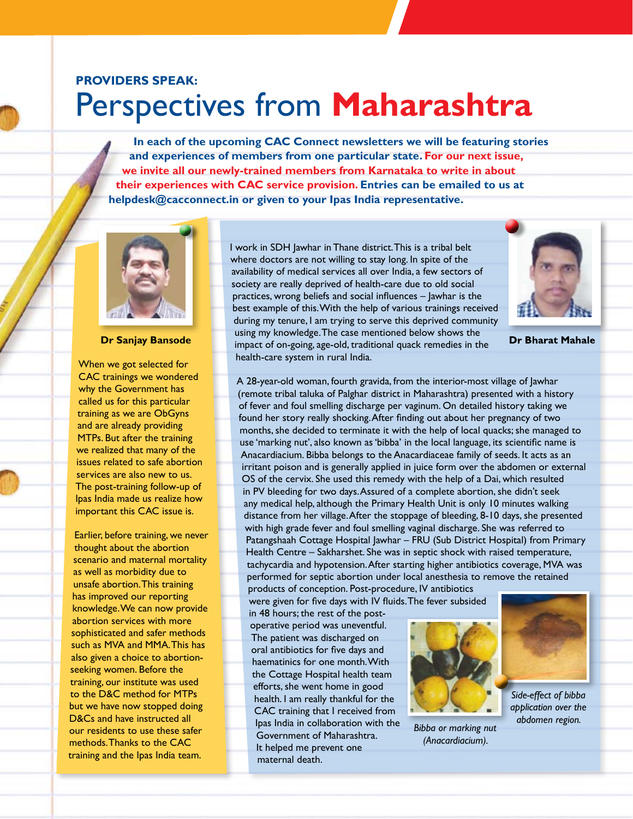## **Providers Speak:** Perspectives from **Maharashtra**

**In each of the upcoming CAC Connect newsletters we will be featuring stories and experiences of members from one particular state. For our next issue, we invite all our newly-trained members from Karnataka to write in about their experiences with CAC service provision. Entries can be emailed to us at helpdesk@cacconnect.in or given to your Ipas India representative.** 



**Dr Sanjay Bansode**

When we got selected for CAC trainings we wondered why the Government has called us for this particular training as we are ObGyns and are already providing MTPs. But after the training we realized that many of the issues related to safe abortion services are also new to us. The post-training follow-up of Ipas India made us realize how important this CAC issue is.

Earlier, before training, we never thought about the abortion scenario and maternal mortality as well as morbidity due to unsafe abortion. This training has improved our reporting knowledge. We can now provide abortion services with more sophisticated and safer methods such as MVA and MMA. This has also given a choice to abortionseeking women. Before the training, our institute was used to the D&C method for MTPs but we have now stopped doing D&Cs and have instructed all our residents to use these safer methods. Thanks to the CAC training and the Ipas India team.

I work in SDH Jawhar in Thane district. This is a tribal belt where doctors are not willing to stay long. In spite of the availability of medical services all over India, a few sectors of society are really deprived of health-care due to old social practices, wrong beliefs and social influences – Jawhar is the best example of this. With the help of various trainings received during my tenure, I am trying to serve this deprived community using my knowledge. The case mentioned below shows the impact of on-going, age-old, traditional quack remedies in the health-care system in rural India.



**Dr Bharat Mahale** 

A 28-year-old woman, fourth gravida, from the interior-most village of Jawhar (remote tribal taluka of Palghar district in Maharashtra) presented with a history of fever and foul smelling discharge per vaginum. On detailed history taking we found her story really shocking. After finding out about her pregnancy of two months, she decided to terminate it with the help of local quacks; she managed to use 'marking nut', also known as 'bibba' in the local language, its scientific name is Anacardiacium. Bibba belongs to the Anacardiaceae family of seeds. It acts as an irritant poison and is generally applied in juice form over the abdomen or external OS of the cervix. She used this remedy with the help of a Dai, which resulted in PV bleeding for two days. Assured of a complete abortion, she didn't seek any medical help, although the Primary Health Unit is only 10 minutes walking distance from her village. After the stoppage of bleeding, 8-10 days, she presented with high grade fever and foul smelling vaginal discharge. She was referred to Patangshaah Cottage Hospital Jawhar – FRU (Sub District Hospital) from Primary Health Centre – Sakharshet. She was in septic shock with raised temperature, tachycardia and hypotension. After starting higher antibiotics coverage, MVA was performed for septic abortion under local anesthesia to remove the retained

products of conception. Post-procedure, IV antibiotics were given for five days with IV fluids. The fever subsided

in 48 hours; the rest of the postoperative period was uneventful. The patient was discharged on oral antibiotics for five days and haematinics for one month. With the Cottage Hospital health team efforts, she went home in good health. I am really thankful for the CAC training that I received from Ipas India in collaboration with the Government of Maharashtra. It helped me prevent one maternal death.



*(Anacardiacium).*



*Side-effect of bibba application over the abdomen region. Bibba or marking nut*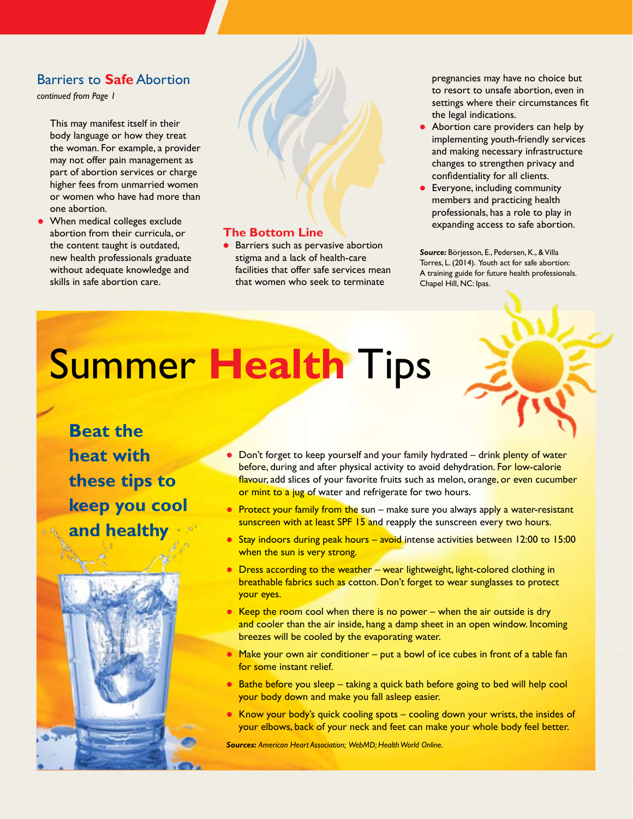#### Barriers to **Safe** Abortion

*continued from Page 1*

This may manifest itself in their body language or how they treat the woman. For example, a provider may not offer pain management as part of abortion services or charge higher fees from unmarried women or women who have had more than one abortion.

When medical colleges exclude abortion from their curricula, or the content taught is outdated, new health professionals graduate without adequate knowledge and skills in safe abortion care.

#### **The Bottom Line**

**•** Barriers such as pervasive abortion stigma and a lack of health-care facilities that offer safe services mean that women who seek to terminate

pregnancies may have no choice but to resort to unsafe abortion, even in settings where their circumstances fit the legal indications.

- Abortion care providers can help by implementing youth-friendly services and making necessary infrastructure changes to strengthen privacy and confidentiality for all clients.
- **•** Everyone, including community members and practicing health professionals, has a role to play in expanding access to safe abortion.

*Source:* Börjesson, E., Pedersen, K., & Villa Torres, L. (2014). Youth act for safe abortion: A training guide for future health professionals. Chapel Hill, NC: Ipas.

# Summer **Health** Tips





- **Protect your family from the sun** make sure you always apply a water-resistant sunscreen with at least SPF 15 and reapply the sunscreen every two hours.
- Stay indoors during peak hours avoid intense activities between 12:00 to 15:00 when the sun is very strong.
- $\bullet$  Dress according to the weather wear lightweight, light-colored clothing in breathable fabrics such as cotton. Don't forget to wear sunglasses to protect your eyes.
- Exeep the room cool when there is no power when the air outside is dry and cooler than the air inside, hang a damp sheet in an open window. Incoming breezes will be cooled by the evaporating water.
- $\bullet$  Make your own air conditioner put a bowl of ice cubes in front of a table fan for some instant relief.
- $\bullet$  Bathe before you sleep taking a quick bath before going to bed will help cool your body down and make you fall asleep easier.
- $\bullet$  Know your body's quick cooling spots cooling down your wrists, the insides of your elbows, back of your neck and feet can make your whole body feel better.

*Sources: American Heart Association; WebMD; Health World Online.*